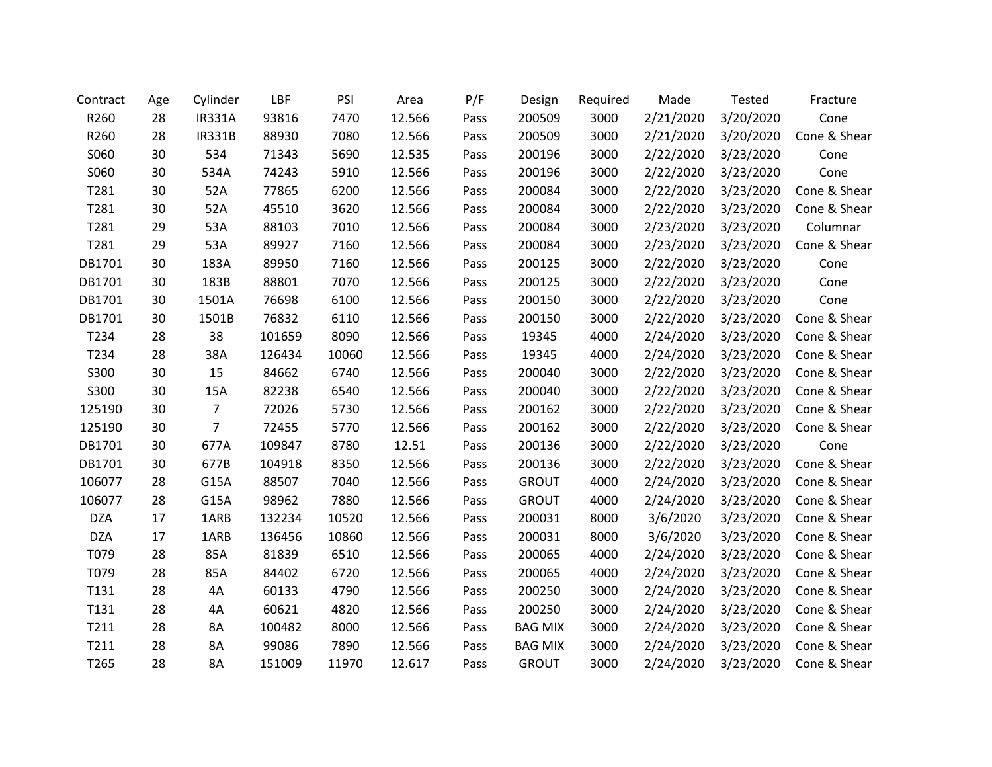| Contract   | Age | Cylinder       | LBF    | PSI   | Area   | P/F  | Design         | Required | Made      | Tested    | Fracture     |
|------------|-----|----------------|--------|-------|--------|------|----------------|----------|-----------|-----------|--------------|
| R260       | 28  | <b>IR331A</b>  | 93816  | 7470  | 12.566 | Pass | 200509         | 3000     | 2/21/2020 | 3/20/2020 | Cone         |
| R260       | 28  | <b>IR331B</b>  | 88930  | 7080  | 12.566 | Pass | 200509         | 3000     | 2/21/2020 | 3/20/2020 | Cone & Shear |
| S060       | 30  | 534            | 71343  | 5690  | 12.535 | Pass | 200196         | 3000     | 2/22/2020 | 3/23/2020 | Cone         |
| S060       | 30  | 534A           | 74243  | 5910  | 12.566 | Pass | 200196         | 3000     | 2/22/2020 | 3/23/2020 | Cone         |
| T281       | 30  | 52A            | 77865  | 6200  | 12.566 | Pass | 200084         | 3000     | 2/22/2020 | 3/23/2020 | Cone & Shear |
| T281       | 30  | 52A            | 45510  | 3620  | 12.566 | Pass | 200084         | 3000     | 2/22/2020 | 3/23/2020 | Cone & Shear |
| T281       | 29  | 53A            | 88103  | 7010  | 12.566 | Pass | 200084         | 3000     | 2/23/2020 | 3/23/2020 | Columnar     |
| T281       | 29  | 53A            | 89927  | 7160  | 12.566 | Pass | 200084         | 3000     | 2/23/2020 | 3/23/2020 | Cone & Shear |
| DB1701     | 30  | 183A           | 89950  | 7160  | 12.566 | Pass | 200125         | 3000     | 2/22/2020 | 3/23/2020 | Cone         |
| DB1701     | 30  | 183B           | 88801  | 7070  | 12.566 | Pass | 200125         | 3000     | 2/22/2020 | 3/23/2020 | Cone         |
| DB1701     | 30  | 1501A          | 76698  | 6100  | 12.566 | Pass | 200150         | 3000     | 2/22/2020 | 3/23/2020 | Cone         |
| DB1701     | 30  | 1501B          | 76832  | 6110  | 12.566 | Pass | 200150         | 3000     | 2/22/2020 | 3/23/2020 | Cone & Shear |
| T234       | 28  | 38             | 101659 | 8090  | 12.566 | Pass | 19345          | 4000     | 2/24/2020 | 3/23/2020 | Cone & Shear |
| T234       | 28  | 38A            | 126434 | 10060 | 12.566 | Pass | 19345          | 4000     | 2/24/2020 | 3/23/2020 | Cone & Shear |
| S300       | 30  | 15             | 84662  | 6740  | 12.566 | Pass | 200040         | 3000     | 2/22/2020 | 3/23/2020 | Cone & Shear |
| S300       | 30  | 15A            | 82238  | 6540  | 12.566 | Pass | 200040         | 3000     | 2/22/2020 | 3/23/2020 | Cone & Shear |
| 125190     | 30  | $\overline{7}$ | 72026  | 5730  | 12.566 | Pass | 200162         | 3000     | 2/22/2020 | 3/23/2020 | Cone & Shear |
| 125190     | 30  | $\overline{7}$ | 72455  | 5770  | 12.566 | Pass | 200162         | 3000     | 2/22/2020 | 3/23/2020 | Cone & Shear |
| DB1701     | 30  | 677A           | 109847 | 8780  | 12.51  | Pass | 200136         | 3000     | 2/22/2020 | 3/23/2020 | Cone         |
| DB1701     | 30  | 677B           | 104918 | 8350  | 12.566 | Pass | 200136         | 3000     | 2/22/2020 | 3/23/2020 | Cone & Shear |
| 106077     | 28  | G15A           | 88507  | 7040  | 12.566 | Pass | <b>GROUT</b>   | 4000     | 2/24/2020 | 3/23/2020 | Cone & Shear |
| 106077     | 28  | G15A           | 98962  | 7880  | 12.566 | Pass | <b>GROUT</b>   | 4000     | 2/24/2020 | 3/23/2020 | Cone & Shear |
| <b>DZA</b> | 17  | 1ARB           | 132234 | 10520 | 12.566 | Pass | 200031         | 8000     | 3/6/2020  | 3/23/2020 | Cone & Shear |
| <b>DZA</b> | 17  | 1ARB           | 136456 | 10860 | 12.566 | Pass | 200031         | 8000     | 3/6/2020  | 3/23/2020 | Cone & Shear |
| T079       | 28  | 85A            | 81839  | 6510  | 12.566 | Pass | 200065         | 4000     | 2/24/2020 | 3/23/2020 | Cone & Shear |
| T079       | 28  | 85A            | 84402  | 6720  | 12.566 | Pass | 200065         | 4000     | 2/24/2020 | 3/23/2020 | Cone & Shear |
| T131       | 28  | 4A             | 60133  | 4790  | 12.566 | Pass | 200250         | 3000     | 2/24/2020 | 3/23/2020 | Cone & Shear |
| T131       | 28  | 4A             | 60621  | 4820  | 12.566 | Pass | 200250         | 3000     | 2/24/2020 | 3/23/2020 | Cone & Shear |
| T211       | 28  | 8A             | 100482 | 8000  | 12.566 | Pass | <b>BAG MIX</b> | 3000     | 2/24/2020 | 3/23/2020 | Cone & Shear |
| T211       | 28  | 8A             | 99086  | 7890  | 12.566 | Pass | <b>BAG MIX</b> | 3000     | 2/24/2020 | 3/23/2020 | Cone & Shear |
| T265       | 28  | <b>8A</b>      | 151009 | 11970 | 12.617 | Pass | <b>GROUT</b>   | 3000     | 2/24/2020 | 3/23/2020 | Cone & Shear |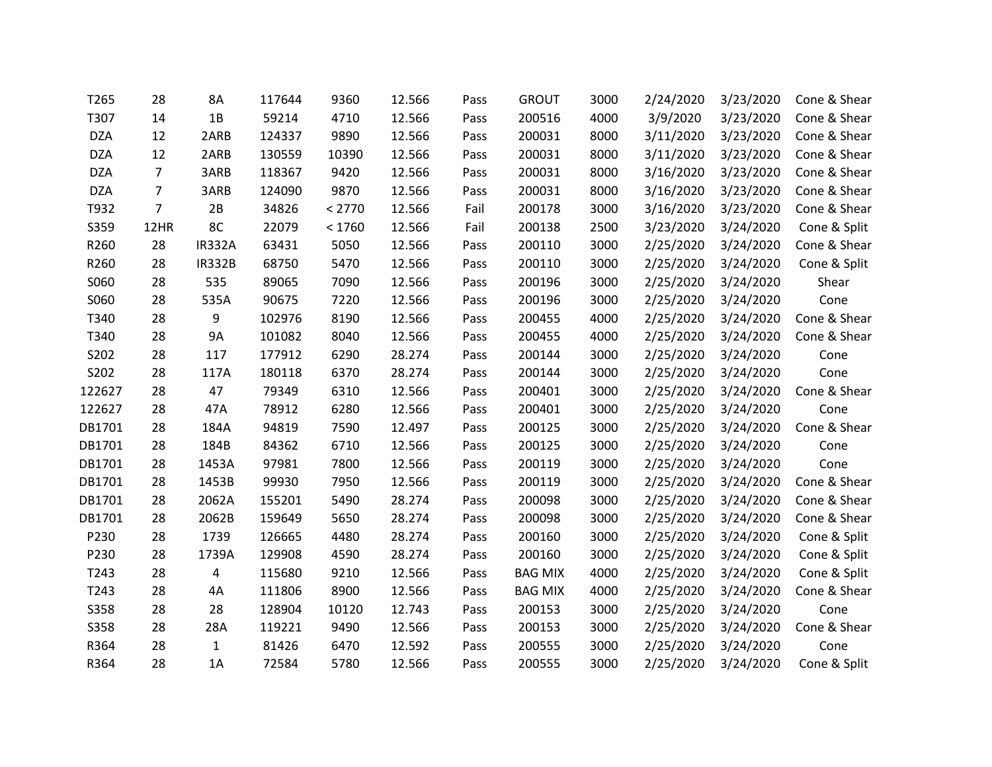| T265       | 28             | 8A             | 117644 | 9360   | 12.566 | Pass | <b>GROUT</b>   | 3000 | 2/24/2020 | 3/23/2020 | Cone & Shear |
|------------|----------------|----------------|--------|--------|--------|------|----------------|------|-----------|-----------|--------------|
| T307       | 14             | 1B             | 59214  | 4710   | 12.566 | Pass | 200516         | 4000 | 3/9/2020  | 3/23/2020 | Cone & Shear |
| <b>DZA</b> | 12             | 2ARB           | 124337 | 9890   | 12.566 | Pass | 200031         | 8000 | 3/11/2020 | 3/23/2020 | Cone & Shear |
| <b>DZA</b> | 12             | 2ARB           | 130559 | 10390  | 12.566 | Pass | 200031         | 8000 | 3/11/2020 | 3/23/2020 | Cone & Shear |
| <b>DZA</b> | $\overline{7}$ | 3ARB           | 118367 | 9420   | 12.566 | Pass | 200031         | 8000 | 3/16/2020 | 3/23/2020 | Cone & Shear |
| <b>DZA</b> | $\overline{7}$ | 3ARB           | 124090 | 9870   | 12.566 | Pass | 200031         | 8000 | 3/16/2020 | 3/23/2020 | Cone & Shear |
| T932       | $\overline{7}$ | 2B             | 34826  | < 2770 | 12.566 | Fail | 200178         | 3000 | 3/16/2020 | 3/23/2020 | Cone & Shear |
| S359       | 12HR           | 8C             | 22079  | < 1760 | 12.566 | Fail | 200138         | 2500 | 3/23/2020 | 3/24/2020 | Cone & Split |
| R260       | 28             | <b>IR332A</b>  | 63431  | 5050   | 12.566 | Pass | 200110         | 3000 | 2/25/2020 | 3/24/2020 | Cone & Shear |
| R260       | 28             | <b>IR332B</b>  | 68750  | 5470   | 12.566 | Pass | 200110         | 3000 | 2/25/2020 | 3/24/2020 | Cone & Split |
| S060       | 28             | 535            | 89065  | 7090   | 12.566 | Pass | 200196         | 3000 | 2/25/2020 | 3/24/2020 | Shear        |
| S060       | 28             | 535A           | 90675  | 7220   | 12.566 | Pass | 200196         | 3000 | 2/25/2020 | 3/24/2020 | Cone         |
| T340       | 28             | 9              | 102976 | 8190   | 12.566 | Pass | 200455         | 4000 | 2/25/2020 | 3/24/2020 | Cone & Shear |
| T340       | 28             | <b>9A</b>      | 101082 | 8040   | 12.566 | Pass | 200455         | 4000 | 2/25/2020 | 3/24/2020 | Cone & Shear |
| S202       | 28             | 117            | 177912 | 6290   | 28.274 | Pass | 200144         | 3000 | 2/25/2020 | 3/24/2020 | Cone         |
| S202       | 28             | 117A           | 180118 | 6370   | 28.274 | Pass | 200144         | 3000 | 2/25/2020 | 3/24/2020 | Cone         |
| 122627     | 28             | 47             | 79349  | 6310   | 12.566 | Pass | 200401         | 3000 | 2/25/2020 | 3/24/2020 | Cone & Shear |
| 122627     | 28             | 47A            | 78912  | 6280   | 12.566 | Pass | 200401         | 3000 | 2/25/2020 | 3/24/2020 | Cone         |
| DB1701     | 28             | 184A           | 94819  | 7590   | 12.497 | Pass | 200125         | 3000 | 2/25/2020 | 3/24/2020 | Cone & Shear |
| DB1701     | 28             | 184B           | 84362  | 6710   | 12.566 | Pass | 200125         | 3000 | 2/25/2020 | 3/24/2020 | Cone         |
| DB1701     | 28             | 1453A          | 97981  | 7800   | 12.566 | Pass | 200119         | 3000 | 2/25/2020 | 3/24/2020 | Cone         |
| DB1701     | 28             | 1453B          | 99930  | 7950   | 12.566 | Pass | 200119         | 3000 | 2/25/2020 | 3/24/2020 | Cone & Shear |
| DB1701     | 28             | 2062A          | 155201 | 5490   | 28.274 | Pass | 200098         | 3000 | 2/25/2020 | 3/24/2020 | Cone & Shear |
| DB1701     | 28             | 2062B          | 159649 | 5650   | 28.274 | Pass | 200098         | 3000 | 2/25/2020 | 3/24/2020 | Cone & Shear |
| P230       | 28             | 1739           | 126665 | 4480   | 28.274 | Pass | 200160         | 3000 | 2/25/2020 | 3/24/2020 | Cone & Split |
| P230       | 28             | 1739A          | 129908 | 4590   | 28.274 | Pass | 200160         | 3000 | 2/25/2020 | 3/24/2020 | Cone & Split |
| T243       | 28             | $\overline{4}$ | 115680 | 9210   | 12.566 | Pass | <b>BAG MIX</b> | 4000 | 2/25/2020 | 3/24/2020 | Cone & Split |
| T243       | 28             | 4A             | 111806 | 8900   | 12.566 | Pass | <b>BAG MIX</b> | 4000 | 2/25/2020 | 3/24/2020 | Cone & Shear |
| S358       | 28             | 28             | 128904 | 10120  | 12.743 | Pass | 200153         | 3000 | 2/25/2020 | 3/24/2020 | Cone         |
| S358       | 28             | 28A            | 119221 | 9490   | 12.566 | Pass | 200153         | 3000 | 2/25/2020 | 3/24/2020 | Cone & Shear |
| R364       | 28             | $\mathbf{1}$   | 81426  | 6470   | 12.592 | Pass | 200555         | 3000 | 2/25/2020 | 3/24/2020 | Cone         |
| R364       | 28             | 1A             | 72584  | 5780   | 12.566 | Pass | 200555         | 3000 | 2/25/2020 | 3/24/2020 | Cone & Split |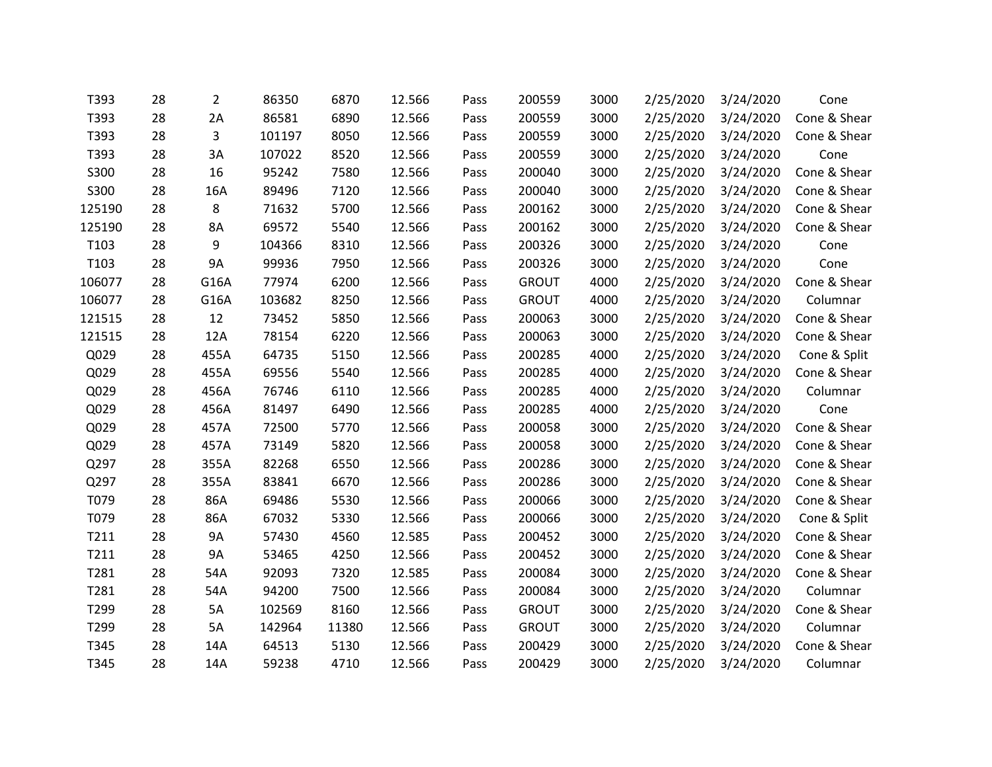| T393   | 28 | $\overline{2}$ | 86350  | 6870  | 12.566 | Pass | 200559       | 3000 | 2/25/2020 | 3/24/2020 | Cone         |
|--------|----|----------------|--------|-------|--------|------|--------------|------|-----------|-----------|--------------|
| T393   | 28 | 2A             | 86581  | 6890  | 12.566 | Pass | 200559       | 3000 | 2/25/2020 | 3/24/2020 | Cone & Shear |
| T393   | 28 | 3              | 101197 | 8050  | 12.566 | Pass | 200559       | 3000 | 2/25/2020 | 3/24/2020 | Cone & Shear |
| T393   | 28 | 3A             | 107022 | 8520  | 12.566 | Pass | 200559       | 3000 | 2/25/2020 | 3/24/2020 | Cone         |
| S300   | 28 | 16             | 95242  | 7580  | 12.566 | Pass | 200040       | 3000 | 2/25/2020 | 3/24/2020 | Cone & Shear |
| S300   | 28 | 16A            | 89496  | 7120  | 12.566 | Pass | 200040       | 3000 | 2/25/2020 | 3/24/2020 | Cone & Shear |
| 125190 | 28 | 8              | 71632  | 5700  | 12.566 | Pass | 200162       | 3000 | 2/25/2020 | 3/24/2020 | Cone & Shear |
| 125190 | 28 | 8A             | 69572  | 5540  | 12.566 | Pass | 200162       | 3000 | 2/25/2020 | 3/24/2020 | Cone & Shear |
| T103   | 28 | 9              | 104366 | 8310  | 12.566 | Pass | 200326       | 3000 | 2/25/2020 | 3/24/2020 | Cone         |
| T103   | 28 | <b>9A</b>      | 99936  | 7950  | 12.566 | Pass | 200326       | 3000 | 2/25/2020 | 3/24/2020 | Cone         |
| 106077 | 28 | G16A           | 77974  | 6200  | 12.566 | Pass | <b>GROUT</b> | 4000 | 2/25/2020 | 3/24/2020 | Cone & Shear |
| 106077 | 28 | G16A           | 103682 | 8250  | 12.566 | Pass | <b>GROUT</b> | 4000 | 2/25/2020 | 3/24/2020 | Columnar     |
| 121515 | 28 | 12             | 73452  | 5850  | 12.566 | Pass | 200063       | 3000 | 2/25/2020 | 3/24/2020 | Cone & Shear |
| 121515 | 28 | 12A            | 78154  | 6220  | 12.566 | Pass | 200063       | 3000 | 2/25/2020 | 3/24/2020 | Cone & Shear |
| Q029   | 28 | 455A           | 64735  | 5150  | 12.566 | Pass | 200285       | 4000 | 2/25/2020 | 3/24/2020 | Cone & Split |
| Q029   | 28 | 455A           | 69556  | 5540  | 12.566 | Pass | 200285       | 4000 | 2/25/2020 | 3/24/2020 | Cone & Shear |
| Q029   | 28 | 456A           | 76746  | 6110  | 12.566 | Pass | 200285       | 4000 | 2/25/2020 | 3/24/2020 | Columnar     |
| Q029   | 28 | 456A           | 81497  | 6490  | 12.566 | Pass | 200285       | 4000 | 2/25/2020 | 3/24/2020 | Cone         |
| Q029   | 28 | 457A           | 72500  | 5770  | 12.566 | Pass | 200058       | 3000 | 2/25/2020 | 3/24/2020 | Cone & Shear |
| Q029   | 28 | 457A           | 73149  | 5820  | 12.566 | Pass | 200058       | 3000 | 2/25/2020 | 3/24/2020 | Cone & Shear |
| Q297   | 28 | 355A           | 82268  | 6550  | 12.566 | Pass | 200286       | 3000 | 2/25/2020 | 3/24/2020 | Cone & Shear |
| Q297   | 28 | 355A           | 83841  | 6670  | 12.566 | Pass | 200286       | 3000 | 2/25/2020 | 3/24/2020 | Cone & Shear |
| T079   | 28 | 86A            | 69486  | 5530  | 12.566 | Pass | 200066       | 3000 | 2/25/2020 | 3/24/2020 | Cone & Shear |
| T079   | 28 | 86A            | 67032  | 5330  | 12.566 | Pass | 200066       | 3000 | 2/25/2020 | 3/24/2020 | Cone & Split |
| T211   | 28 | <b>9A</b>      | 57430  | 4560  | 12.585 | Pass | 200452       | 3000 | 2/25/2020 | 3/24/2020 | Cone & Shear |
| T211   | 28 | 9Α             | 53465  | 4250  | 12.566 | Pass | 200452       | 3000 | 2/25/2020 | 3/24/2020 | Cone & Shear |
| T281   | 28 | 54A            | 92093  | 7320  | 12.585 | Pass | 200084       | 3000 | 2/25/2020 | 3/24/2020 | Cone & Shear |
| T281   | 28 | 54A            | 94200  | 7500  | 12.566 | Pass | 200084       | 3000 | 2/25/2020 | 3/24/2020 | Columnar     |
| T299   | 28 | 5A             | 102569 | 8160  | 12.566 | Pass | <b>GROUT</b> | 3000 | 2/25/2020 | 3/24/2020 | Cone & Shear |
| T299   | 28 | 5A             | 142964 | 11380 | 12.566 | Pass | <b>GROUT</b> | 3000 | 2/25/2020 | 3/24/2020 | Columnar     |
| T345   | 28 | 14A            | 64513  | 5130  | 12.566 | Pass | 200429       | 3000 | 2/25/2020 | 3/24/2020 | Cone & Shear |
| T345   | 28 | 14A            | 59238  | 4710  | 12.566 | Pass | 200429       | 3000 | 2/25/2020 | 3/24/2020 | Columnar     |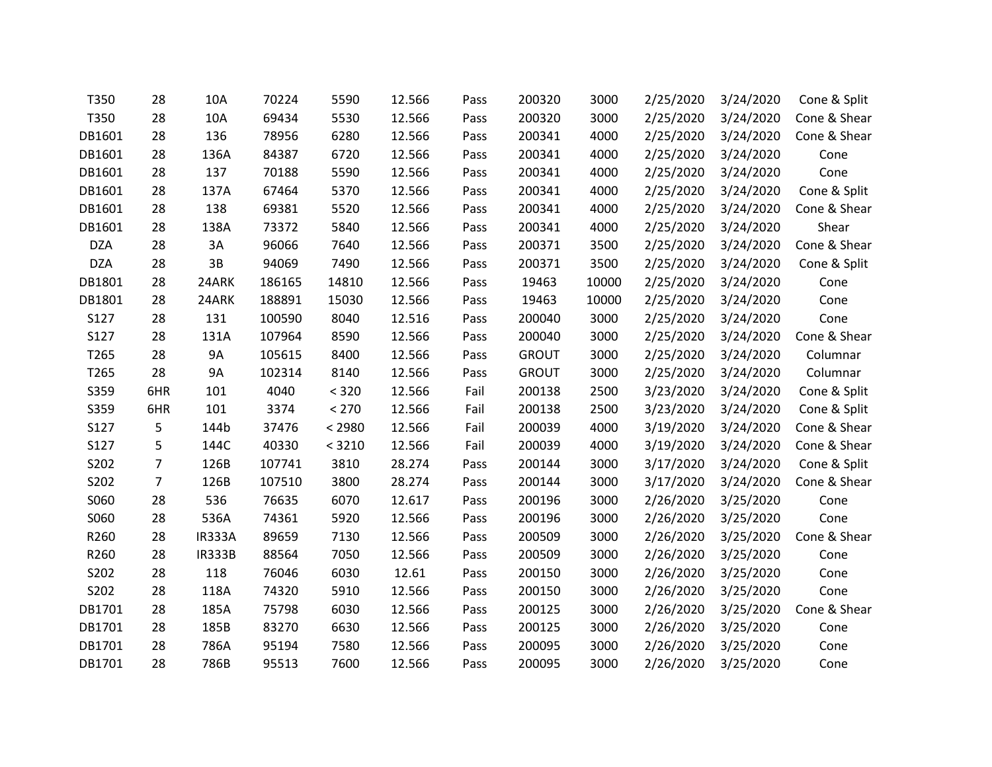| T350       | 28             | 10A           | 70224  | 5590   | 12.566 | Pass | 200320       | 3000  | 2/25/2020 | 3/24/2020 | Cone & Split |
|------------|----------------|---------------|--------|--------|--------|------|--------------|-------|-----------|-----------|--------------|
| T350       | 28             | 10A           | 69434  | 5530   | 12.566 | Pass | 200320       | 3000  | 2/25/2020 | 3/24/2020 | Cone & Shear |
| DB1601     | 28             | 136           | 78956  | 6280   | 12.566 | Pass | 200341       | 4000  | 2/25/2020 | 3/24/2020 | Cone & Shear |
| DB1601     | 28             | 136A          | 84387  | 6720   | 12.566 | Pass | 200341       | 4000  | 2/25/2020 | 3/24/2020 | Cone         |
| DB1601     | 28             | 137           | 70188  | 5590   | 12.566 | Pass | 200341       | 4000  | 2/25/2020 | 3/24/2020 | Cone         |
| DB1601     | 28             | 137A          | 67464  | 5370   | 12.566 | Pass | 200341       | 4000  | 2/25/2020 | 3/24/2020 | Cone & Split |
| DB1601     | 28             | 138           | 69381  | 5520   | 12.566 | Pass | 200341       | 4000  | 2/25/2020 | 3/24/2020 | Cone & Shear |
| DB1601     | 28             | 138A          | 73372  | 5840   | 12.566 | Pass | 200341       | 4000  | 2/25/2020 | 3/24/2020 | Shear        |
| <b>DZA</b> | 28             | 3A            | 96066  | 7640   | 12.566 | Pass | 200371       | 3500  | 2/25/2020 | 3/24/2020 | Cone & Shear |
| <b>DZA</b> | 28             | 3B            | 94069  | 7490   | 12.566 | Pass | 200371       | 3500  | 2/25/2020 | 3/24/2020 | Cone & Split |
| DB1801     | 28             | 24ARK         | 186165 | 14810  | 12.566 | Pass | 19463        | 10000 | 2/25/2020 | 3/24/2020 | Cone         |
| DB1801     | 28             | 24ARK         | 188891 | 15030  | 12.566 | Pass | 19463        | 10000 | 2/25/2020 | 3/24/2020 | Cone         |
| S127       | 28             | 131           | 100590 | 8040   | 12.516 | Pass | 200040       | 3000  | 2/25/2020 | 3/24/2020 | Cone         |
| S127       | 28             | 131A          | 107964 | 8590   | 12.566 | Pass | 200040       | 3000  | 2/25/2020 | 3/24/2020 | Cone & Shear |
| T265       | 28             | <b>9A</b>     | 105615 | 8400   | 12.566 | Pass | <b>GROUT</b> | 3000  | 2/25/2020 | 3/24/2020 | Columnar     |
| T265       | 28             | <b>9A</b>     | 102314 | 8140   | 12.566 | Pass | <b>GROUT</b> | 3000  | 2/25/2020 | 3/24/2020 | Columnar     |
| S359       | 6HR            | 101           | 4040   | < 320  | 12.566 | Fail | 200138       | 2500  | 3/23/2020 | 3/24/2020 | Cone & Split |
| S359       | 6HR            | 101           | 3374   | < 270  | 12.566 | Fail | 200138       | 2500  | 3/23/2020 | 3/24/2020 | Cone & Split |
| S127       | 5              | 144b          | 37476  | < 2980 | 12.566 | Fail | 200039       | 4000  | 3/19/2020 | 3/24/2020 | Cone & Shear |
| S127       | 5              | 144C          | 40330  | < 3210 | 12.566 | Fail | 200039       | 4000  | 3/19/2020 | 3/24/2020 | Cone & Shear |
| S202       | $\overline{7}$ | 126B          | 107741 | 3810   | 28.274 | Pass | 200144       | 3000  | 3/17/2020 | 3/24/2020 | Cone & Split |
| S202       | $\overline{7}$ | 126B          | 107510 | 3800   | 28.274 | Pass | 200144       | 3000  | 3/17/2020 | 3/24/2020 | Cone & Shear |
| S060       | 28             | 536           | 76635  | 6070   | 12.617 | Pass | 200196       | 3000  | 2/26/2020 | 3/25/2020 | Cone         |
| S060       | 28             | 536A          | 74361  | 5920   | 12.566 | Pass | 200196       | 3000  | 2/26/2020 | 3/25/2020 | Cone         |
| R260       | 28             | <b>IR333A</b> | 89659  | 7130   | 12.566 | Pass | 200509       | 3000  | 2/26/2020 | 3/25/2020 | Cone & Shear |
| R260       | 28             | <b>IR333B</b> | 88564  | 7050   | 12.566 | Pass | 200509       | 3000  | 2/26/2020 | 3/25/2020 | Cone         |
| S202       | 28             | 118           | 76046  | 6030   | 12.61  | Pass | 200150       | 3000  | 2/26/2020 | 3/25/2020 | Cone         |
| S202       | 28             | 118A          | 74320  | 5910   | 12.566 | Pass | 200150       | 3000  | 2/26/2020 | 3/25/2020 | Cone         |
| DB1701     | 28             | 185A          | 75798  | 6030   | 12.566 | Pass | 200125       | 3000  | 2/26/2020 | 3/25/2020 | Cone & Shear |
| DB1701     | 28             | 185B          | 83270  | 6630   | 12.566 | Pass | 200125       | 3000  | 2/26/2020 | 3/25/2020 | Cone         |
| DB1701     | 28             | 786A          | 95194  | 7580   | 12.566 | Pass | 200095       | 3000  | 2/26/2020 | 3/25/2020 | Cone         |
| DB1701     | 28             | 786B          | 95513  | 7600   | 12.566 | Pass | 200095       | 3000  | 2/26/2020 | 3/25/2020 | Cone         |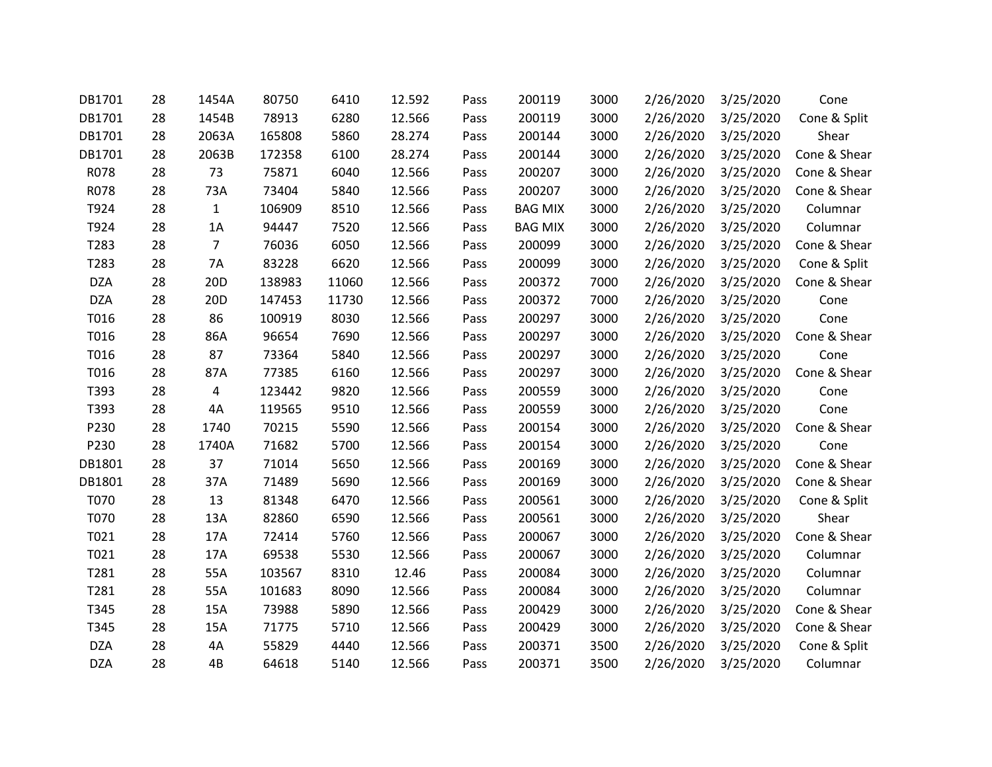| DB1701     | 28 | 1454A           | 80750  | 6410  | 12.592 | Pass | 200119         | 3000 | 2/26/2020 | 3/25/2020 | Cone         |
|------------|----|-----------------|--------|-------|--------|------|----------------|------|-----------|-----------|--------------|
| DB1701     | 28 | 1454B           | 78913  | 6280  | 12.566 | Pass | 200119         | 3000 | 2/26/2020 | 3/25/2020 | Cone & Split |
| DB1701     | 28 | 2063A           | 165808 | 5860  | 28.274 | Pass | 200144         | 3000 | 2/26/2020 | 3/25/2020 | Shear        |
| DB1701     | 28 | 2063B           | 172358 | 6100  | 28.274 | Pass | 200144         | 3000 | 2/26/2020 | 3/25/2020 | Cone & Shear |
| R078       | 28 | 73              | 75871  | 6040  | 12.566 | Pass | 200207         | 3000 | 2/26/2020 | 3/25/2020 | Cone & Shear |
| R078       | 28 | 73A             | 73404  | 5840  | 12.566 | Pass | 200207         | 3000 | 2/26/2020 | 3/25/2020 | Cone & Shear |
| T924       | 28 | $\mathbf{1}$    | 106909 | 8510  | 12.566 | Pass | <b>BAG MIX</b> | 3000 | 2/26/2020 | 3/25/2020 | Columnar     |
| T924       | 28 | 1A              | 94447  | 7520  | 12.566 | Pass | <b>BAG MIX</b> | 3000 | 2/26/2020 | 3/25/2020 | Columnar     |
| T283       | 28 | $\overline{7}$  | 76036  | 6050  | 12.566 | Pass | 200099         | 3000 | 2/26/2020 | 3/25/2020 | Cone & Shear |
| T283       | 28 | 7A              | 83228  | 6620  | 12.566 | Pass | 200099         | 3000 | 2/26/2020 | 3/25/2020 | Cone & Split |
| <b>DZA</b> | 28 | 20D             | 138983 | 11060 | 12.566 | Pass | 200372         | 7000 | 2/26/2020 | 3/25/2020 | Cone & Shear |
| <b>DZA</b> | 28 | 20 <sub>D</sub> | 147453 | 11730 | 12.566 | Pass | 200372         | 7000 | 2/26/2020 | 3/25/2020 | Cone         |
| T016       | 28 | 86              | 100919 | 8030  | 12.566 | Pass | 200297         | 3000 | 2/26/2020 | 3/25/2020 | Cone         |
| T016       | 28 | 86A             | 96654  | 7690  | 12.566 | Pass | 200297         | 3000 | 2/26/2020 | 3/25/2020 | Cone & Shear |
| T016       | 28 | 87              | 73364  | 5840  | 12.566 | Pass | 200297         | 3000 | 2/26/2020 | 3/25/2020 | Cone         |
| T016       | 28 | 87A             | 77385  | 6160  | 12.566 | Pass | 200297         | 3000 | 2/26/2020 | 3/25/2020 | Cone & Shear |
| T393       | 28 | 4               | 123442 | 9820  | 12.566 | Pass | 200559         | 3000 | 2/26/2020 | 3/25/2020 | Cone         |
| T393       | 28 | 4A              | 119565 | 9510  | 12.566 | Pass | 200559         | 3000 | 2/26/2020 | 3/25/2020 | Cone         |
| P230       | 28 | 1740            | 70215  | 5590  | 12.566 | Pass | 200154         | 3000 | 2/26/2020 | 3/25/2020 | Cone & Shear |
| P230       | 28 | 1740A           | 71682  | 5700  | 12.566 | Pass | 200154         | 3000 | 2/26/2020 | 3/25/2020 | Cone         |
| DB1801     | 28 | 37              | 71014  | 5650  | 12.566 | Pass | 200169         | 3000 | 2/26/2020 | 3/25/2020 | Cone & Shear |
| DB1801     | 28 | 37A             | 71489  | 5690  | 12.566 | Pass | 200169         | 3000 | 2/26/2020 | 3/25/2020 | Cone & Shear |
| T070       | 28 | 13              | 81348  | 6470  | 12.566 | Pass | 200561         | 3000 | 2/26/2020 | 3/25/2020 | Cone & Split |
| T070       | 28 | 13A             | 82860  | 6590  | 12.566 | Pass | 200561         | 3000 | 2/26/2020 | 3/25/2020 | Shear        |
| T021       | 28 | 17A             | 72414  | 5760  | 12.566 | Pass | 200067         | 3000 | 2/26/2020 | 3/25/2020 | Cone & Shear |
| T021       | 28 | 17A             | 69538  | 5530  | 12.566 | Pass | 200067         | 3000 | 2/26/2020 | 3/25/2020 | Columnar     |
| T281       | 28 | 55A             | 103567 | 8310  | 12.46  | Pass | 200084         | 3000 | 2/26/2020 | 3/25/2020 | Columnar     |
| T281       | 28 | 55A             | 101683 | 8090  | 12.566 | Pass | 200084         | 3000 | 2/26/2020 | 3/25/2020 | Columnar     |
| T345       | 28 | 15A             | 73988  | 5890  | 12.566 | Pass | 200429         | 3000 | 2/26/2020 | 3/25/2020 | Cone & Shear |
| T345       | 28 | 15A             | 71775  | 5710  | 12.566 | Pass | 200429         | 3000 | 2/26/2020 | 3/25/2020 | Cone & Shear |
| <b>DZA</b> | 28 | 4A              | 55829  | 4440  | 12.566 | Pass | 200371         | 3500 | 2/26/2020 | 3/25/2020 | Cone & Split |
| <b>DZA</b> | 28 | 4B              | 64618  | 5140  | 12.566 | Pass | 200371         | 3500 | 2/26/2020 | 3/25/2020 | Columnar     |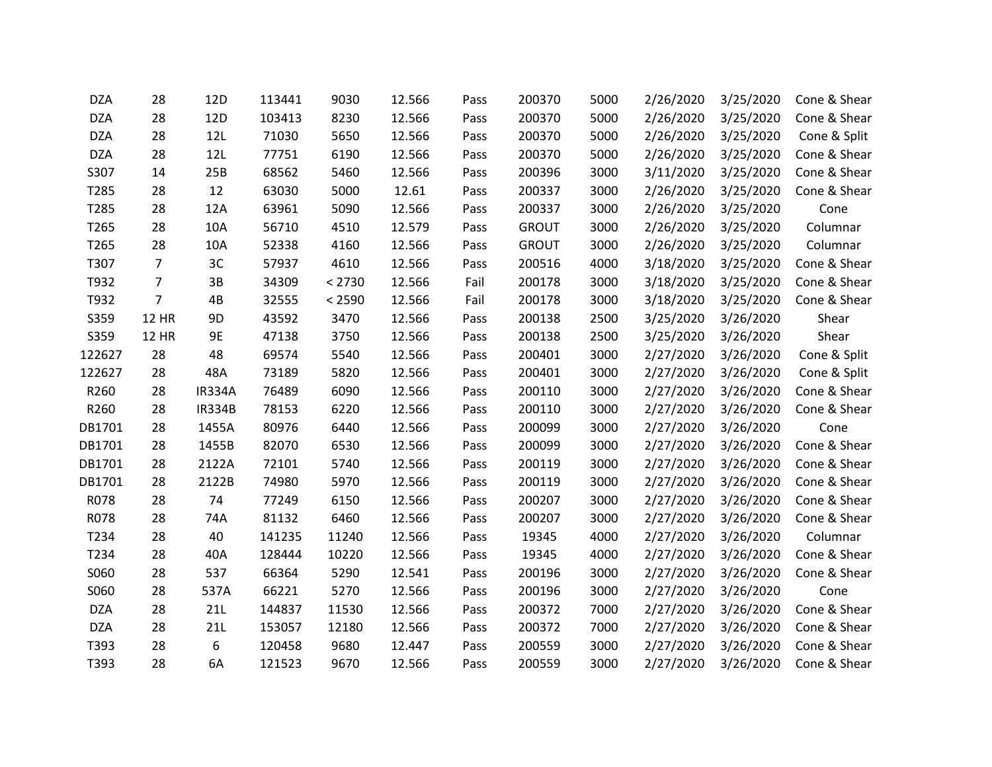| <b>DZA</b> | 28             | 12D           | 113441 | 9030   | 12.566 | Pass | 200370       | 5000 | 2/26/2020 | 3/25/2020 | Cone & Shear |
|------------|----------------|---------------|--------|--------|--------|------|--------------|------|-----------|-----------|--------------|
| <b>DZA</b> | 28             | 12D           | 103413 | 8230   | 12.566 | Pass | 200370       | 5000 | 2/26/2020 | 3/25/2020 | Cone & Shear |
| <b>DZA</b> | 28             | 12L           | 71030  | 5650   | 12.566 | Pass | 200370       | 5000 | 2/26/2020 | 3/25/2020 | Cone & Split |
| <b>DZA</b> | 28             | 12L           | 77751  | 6190   | 12.566 | Pass | 200370       | 5000 | 2/26/2020 | 3/25/2020 | Cone & Shear |
| S307       | 14             | 25B           | 68562  | 5460   | 12.566 | Pass | 200396       | 3000 | 3/11/2020 | 3/25/2020 | Cone & Shear |
| T285       | 28             | 12            | 63030  | 5000   | 12.61  | Pass | 200337       | 3000 | 2/26/2020 | 3/25/2020 | Cone & Shear |
| T285       | 28             | 12A           | 63961  | 5090   | 12.566 | Pass | 200337       | 3000 | 2/26/2020 | 3/25/2020 | Cone         |
| T265       | 28             | 10A           | 56710  | 4510   | 12.579 | Pass | <b>GROUT</b> | 3000 | 2/26/2020 | 3/25/2020 | Columnar     |
| T265       | 28             | 10A           | 52338  | 4160   | 12.566 | Pass | <b>GROUT</b> | 3000 | 2/26/2020 | 3/25/2020 | Columnar     |
| T307       | $\overline{7}$ | 3C            | 57937  | 4610   | 12.566 | Pass | 200516       | 4000 | 3/18/2020 | 3/25/2020 | Cone & Shear |
| T932       | $\overline{7}$ | 3B            | 34309  | < 2730 | 12.566 | Fail | 200178       | 3000 | 3/18/2020 | 3/25/2020 | Cone & Shear |
| T932       | $\overline{7}$ | 4B            | 32555  | < 2590 | 12.566 | Fail | 200178       | 3000 | 3/18/2020 | 3/25/2020 | Cone & Shear |
| S359       | <b>12 HR</b>   | 9D            | 43592  | 3470   | 12.566 | Pass | 200138       | 2500 | 3/25/2020 | 3/26/2020 | Shear        |
| S359       | <b>12 HR</b>   | 9E            | 47138  | 3750   | 12.566 | Pass | 200138       | 2500 | 3/25/2020 | 3/26/2020 | Shear        |
| 122627     | 28             | 48            | 69574  | 5540   | 12.566 | Pass | 200401       | 3000 | 2/27/2020 | 3/26/2020 | Cone & Split |
| 122627     | 28             | 48A           | 73189  | 5820   | 12.566 | Pass | 200401       | 3000 | 2/27/2020 | 3/26/2020 | Cone & Split |
| R260       | 28             | <b>IR334A</b> | 76489  | 6090   | 12.566 | Pass | 200110       | 3000 | 2/27/2020 | 3/26/2020 | Cone & Shear |
| R260       | 28             | <b>IR334B</b> | 78153  | 6220   | 12.566 | Pass | 200110       | 3000 | 2/27/2020 | 3/26/2020 | Cone & Shear |
| DB1701     | 28             | 1455A         | 80976  | 6440   | 12.566 | Pass | 200099       | 3000 | 2/27/2020 | 3/26/2020 | Cone         |
| DB1701     | 28             | 1455B         | 82070  | 6530   | 12.566 | Pass | 200099       | 3000 | 2/27/2020 | 3/26/2020 | Cone & Shear |
| DB1701     | 28             | 2122A         | 72101  | 5740   | 12.566 | Pass | 200119       | 3000 | 2/27/2020 | 3/26/2020 | Cone & Shear |
| DB1701     | 28             | 2122B         | 74980  | 5970   | 12.566 | Pass | 200119       | 3000 | 2/27/2020 | 3/26/2020 | Cone & Shear |
| R078       | 28             | 74            | 77249  | 6150   | 12.566 | Pass | 200207       | 3000 | 2/27/2020 | 3/26/2020 | Cone & Shear |
| R078       | 28             | 74A           | 81132  | 6460   | 12.566 | Pass | 200207       | 3000 | 2/27/2020 | 3/26/2020 | Cone & Shear |
| T234       | 28             | 40            | 141235 | 11240  | 12.566 | Pass | 19345        | 4000 | 2/27/2020 | 3/26/2020 | Columnar     |
| T234       | 28             | 40A           | 128444 | 10220  | 12.566 | Pass | 19345        | 4000 | 2/27/2020 | 3/26/2020 | Cone & Shear |
| S060       | 28             | 537           | 66364  | 5290   | 12.541 | Pass | 200196       | 3000 | 2/27/2020 | 3/26/2020 | Cone & Shear |
| S060       | 28             | 537A          | 66221  | 5270   | 12.566 | Pass | 200196       | 3000 | 2/27/2020 | 3/26/2020 | Cone         |
| <b>DZA</b> | 28             | 21L           | 144837 | 11530  | 12.566 | Pass | 200372       | 7000 | 2/27/2020 | 3/26/2020 | Cone & Shear |
| <b>DZA</b> | 28             | 21L           | 153057 | 12180  | 12.566 | Pass | 200372       | 7000 | 2/27/2020 | 3/26/2020 | Cone & Shear |
| T393       | 28             | 6             | 120458 | 9680   | 12.447 | Pass | 200559       | 3000 | 2/27/2020 | 3/26/2020 | Cone & Shear |
| T393       | 28             | 6A            | 121523 | 9670   | 12.566 | Pass | 200559       | 3000 | 2/27/2020 | 3/26/2020 | Cone & Shear |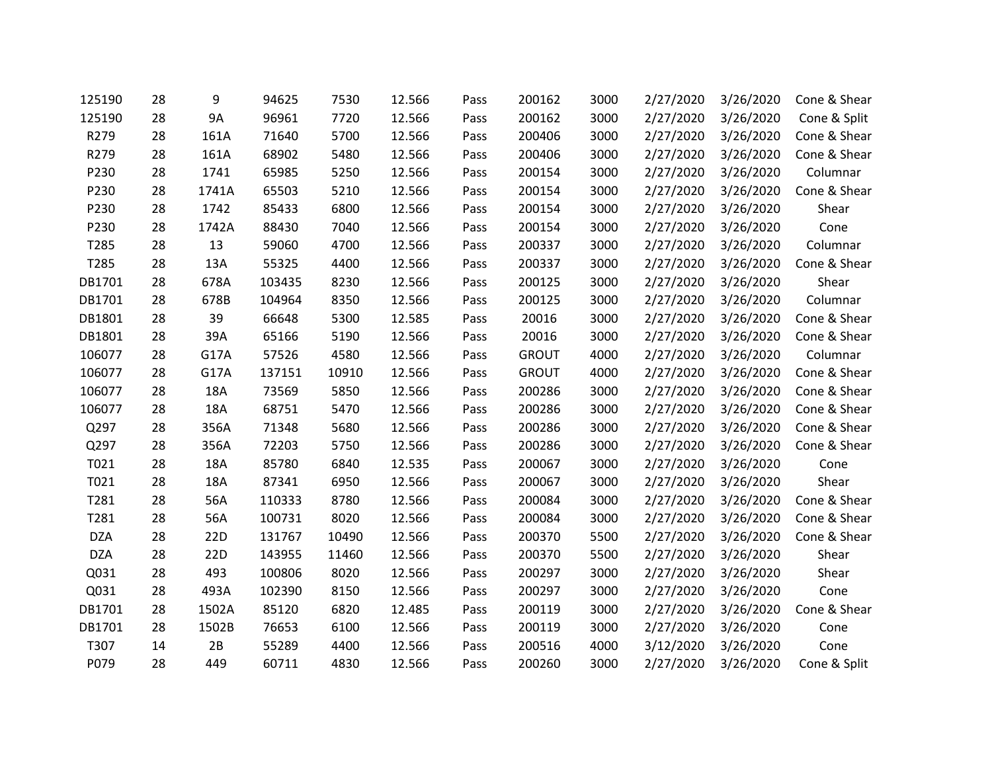| 125190     | 28 | 9          | 94625  | 7530  | 12.566 | Pass | 200162       | 3000 | 2/27/2020 | 3/26/2020 | Cone & Shear |
|------------|----|------------|--------|-------|--------|------|--------------|------|-----------|-----------|--------------|
| 125190     | 28 | <b>9A</b>  | 96961  | 7720  | 12.566 | Pass | 200162       | 3000 | 2/27/2020 | 3/26/2020 | Cone & Split |
| R279       | 28 | 161A       | 71640  | 5700  | 12.566 | Pass | 200406       | 3000 | 2/27/2020 | 3/26/2020 | Cone & Shear |
| R279       | 28 | 161A       | 68902  | 5480  | 12.566 | Pass | 200406       | 3000 | 2/27/2020 | 3/26/2020 | Cone & Shear |
| P230       | 28 | 1741       | 65985  | 5250  | 12.566 | Pass | 200154       | 3000 | 2/27/2020 | 3/26/2020 | Columnar     |
| P230       | 28 | 1741A      | 65503  | 5210  | 12.566 | Pass | 200154       | 3000 | 2/27/2020 | 3/26/2020 | Cone & Shear |
| P230       | 28 | 1742       | 85433  | 6800  | 12.566 | Pass | 200154       | 3000 | 2/27/2020 | 3/26/2020 | Shear        |
| P230       | 28 | 1742A      | 88430  | 7040  | 12.566 | Pass | 200154       | 3000 | 2/27/2020 | 3/26/2020 | Cone         |
| T285       | 28 | 13         | 59060  | 4700  | 12.566 | Pass | 200337       | 3000 | 2/27/2020 | 3/26/2020 | Columnar     |
| T285       | 28 | 13A        | 55325  | 4400  | 12.566 | Pass | 200337       | 3000 | 2/27/2020 | 3/26/2020 | Cone & Shear |
| DB1701     | 28 | 678A       | 103435 | 8230  | 12.566 | Pass | 200125       | 3000 | 2/27/2020 | 3/26/2020 | Shear        |
| DB1701     | 28 | 678B       | 104964 | 8350  | 12.566 | Pass | 200125       | 3000 | 2/27/2020 | 3/26/2020 | Columnar     |
| DB1801     | 28 | 39         | 66648  | 5300  | 12.585 | Pass | 20016        | 3000 | 2/27/2020 | 3/26/2020 | Cone & Shear |
| DB1801     | 28 | 39A        | 65166  | 5190  | 12.566 | Pass | 20016        | 3000 | 2/27/2020 | 3/26/2020 | Cone & Shear |
| 106077     | 28 | G17A       | 57526  | 4580  | 12.566 | Pass | <b>GROUT</b> | 4000 | 2/27/2020 | 3/26/2020 | Columnar     |
| 106077     | 28 | G17A       | 137151 | 10910 | 12.566 | Pass | <b>GROUT</b> | 4000 | 2/27/2020 | 3/26/2020 | Cone & Shear |
| 106077     | 28 | <b>18A</b> | 73569  | 5850  | 12.566 | Pass | 200286       | 3000 | 2/27/2020 | 3/26/2020 | Cone & Shear |
| 106077     | 28 | 18A        | 68751  | 5470  | 12.566 | Pass | 200286       | 3000 | 2/27/2020 | 3/26/2020 | Cone & Shear |
| Q297       | 28 | 356A       | 71348  | 5680  | 12.566 | Pass | 200286       | 3000 | 2/27/2020 | 3/26/2020 | Cone & Shear |
| Q297       | 28 | 356A       | 72203  | 5750  | 12.566 | Pass | 200286       | 3000 | 2/27/2020 | 3/26/2020 | Cone & Shear |
| T021       | 28 | 18A        | 85780  | 6840  | 12.535 | Pass | 200067       | 3000 | 2/27/2020 | 3/26/2020 | Cone         |
| T021       | 28 | 18A        | 87341  | 6950  | 12.566 | Pass | 200067       | 3000 | 2/27/2020 | 3/26/2020 | Shear        |
| T281       | 28 | 56A        | 110333 | 8780  | 12.566 | Pass | 200084       | 3000 | 2/27/2020 | 3/26/2020 | Cone & Shear |
| T281       | 28 | 56A        | 100731 | 8020  | 12.566 | Pass | 200084       | 3000 | 2/27/2020 | 3/26/2020 | Cone & Shear |
| <b>DZA</b> | 28 | 22D        | 131767 | 10490 | 12.566 | Pass | 200370       | 5500 | 2/27/2020 | 3/26/2020 | Cone & Shear |
| <b>DZA</b> | 28 | 22D        | 143955 | 11460 | 12.566 | Pass | 200370       | 5500 | 2/27/2020 | 3/26/2020 | Shear        |
| Q031       | 28 | 493        | 100806 | 8020  | 12.566 | Pass | 200297       | 3000 | 2/27/2020 | 3/26/2020 | Shear        |
| Q031       | 28 | 493A       | 102390 | 8150  | 12.566 | Pass | 200297       | 3000 | 2/27/2020 | 3/26/2020 | Cone         |
| DB1701     | 28 | 1502A      | 85120  | 6820  | 12.485 | Pass | 200119       | 3000 | 2/27/2020 | 3/26/2020 | Cone & Shear |
| DB1701     | 28 | 1502B      | 76653  | 6100  | 12.566 | Pass | 200119       | 3000 | 2/27/2020 | 3/26/2020 | Cone         |
| T307       | 14 | 2B         | 55289  | 4400  | 12.566 | Pass | 200516       | 4000 | 3/12/2020 | 3/26/2020 | Cone         |
| P079       | 28 | 449        | 60711  | 4830  | 12.566 | Pass | 200260       | 3000 | 2/27/2020 | 3/26/2020 | Cone & Split |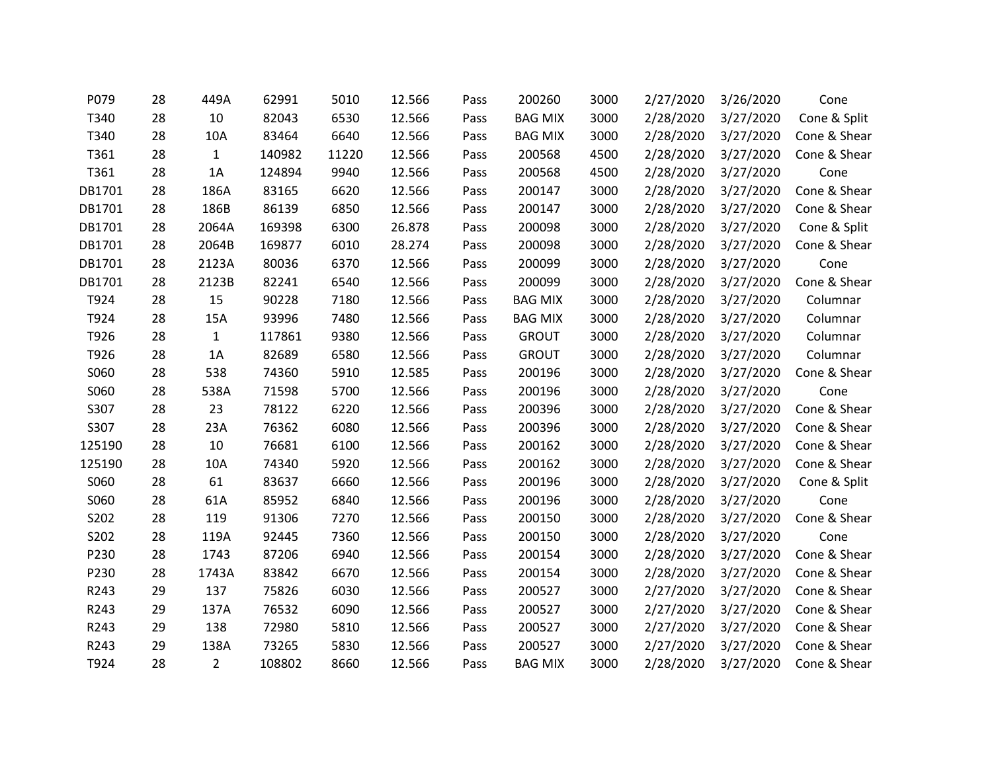| P079   | 28 | 449A           | 62991  | 5010  | 12.566 | Pass | 200260         | 3000 | 2/27/2020 | 3/26/2020 | Cone         |
|--------|----|----------------|--------|-------|--------|------|----------------|------|-----------|-----------|--------------|
| T340   | 28 | 10             | 82043  | 6530  | 12.566 | Pass | <b>BAG MIX</b> | 3000 | 2/28/2020 | 3/27/2020 | Cone & Split |
| T340   | 28 | 10A            | 83464  | 6640  | 12.566 | Pass | <b>BAG MIX</b> | 3000 | 2/28/2020 | 3/27/2020 | Cone & Shear |
| T361   | 28 | $\mathbf{1}$   | 140982 | 11220 | 12.566 | Pass | 200568         | 4500 | 2/28/2020 | 3/27/2020 | Cone & Shear |
| T361   | 28 | 1A             | 124894 | 9940  | 12.566 | Pass | 200568         | 4500 | 2/28/2020 | 3/27/2020 | Cone         |
| DB1701 | 28 | 186A           | 83165  | 6620  | 12.566 | Pass | 200147         | 3000 | 2/28/2020 | 3/27/2020 | Cone & Shear |
| DB1701 | 28 | 186B           | 86139  | 6850  | 12.566 | Pass | 200147         | 3000 | 2/28/2020 | 3/27/2020 | Cone & Shear |
| DB1701 | 28 | 2064A          | 169398 | 6300  | 26.878 | Pass | 200098         | 3000 | 2/28/2020 | 3/27/2020 | Cone & Split |
| DB1701 | 28 | 2064B          | 169877 | 6010  | 28.274 | Pass | 200098         | 3000 | 2/28/2020 | 3/27/2020 | Cone & Shear |
| DB1701 | 28 | 2123A          | 80036  | 6370  | 12.566 | Pass | 200099         | 3000 | 2/28/2020 | 3/27/2020 | Cone         |
| DB1701 | 28 | 2123B          | 82241  | 6540  | 12.566 | Pass | 200099         | 3000 | 2/28/2020 | 3/27/2020 | Cone & Shear |
| T924   | 28 | 15             | 90228  | 7180  | 12.566 | Pass | <b>BAG MIX</b> | 3000 | 2/28/2020 | 3/27/2020 | Columnar     |
| T924   | 28 | 15A            | 93996  | 7480  | 12.566 | Pass | <b>BAG MIX</b> | 3000 | 2/28/2020 | 3/27/2020 | Columnar     |
| T926   | 28 | $\mathbf{1}$   | 117861 | 9380  | 12.566 | Pass | <b>GROUT</b>   | 3000 | 2/28/2020 | 3/27/2020 | Columnar     |
| T926   | 28 | 1A             | 82689  | 6580  | 12.566 | Pass | <b>GROUT</b>   | 3000 | 2/28/2020 | 3/27/2020 | Columnar     |
| S060   | 28 | 538            | 74360  | 5910  | 12.585 | Pass | 200196         | 3000 | 2/28/2020 | 3/27/2020 | Cone & Shear |
| S060   | 28 | 538A           | 71598  | 5700  | 12.566 | Pass | 200196         | 3000 | 2/28/2020 | 3/27/2020 | Cone         |
| S307   | 28 | 23             | 78122  | 6220  | 12.566 | Pass | 200396         | 3000 | 2/28/2020 | 3/27/2020 | Cone & Shear |
| S307   | 28 | 23A            | 76362  | 6080  | 12.566 | Pass | 200396         | 3000 | 2/28/2020 | 3/27/2020 | Cone & Shear |
| 125190 | 28 | 10             | 76681  | 6100  | 12.566 | Pass | 200162         | 3000 | 2/28/2020 | 3/27/2020 | Cone & Shear |
| 125190 | 28 | 10A            | 74340  | 5920  | 12.566 | Pass | 200162         | 3000 | 2/28/2020 | 3/27/2020 | Cone & Shear |
| S060   | 28 | 61             | 83637  | 6660  | 12.566 | Pass | 200196         | 3000 | 2/28/2020 | 3/27/2020 | Cone & Split |
| S060   | 28 | 61A            | 85952  | 6840  | 12.566 | Pass | 200196         | 3000 | 2/28/2020 | 3/27/2020 | Cone         |
| S202   | 28 | 119            | 91306  | 7270  | 12.566 | Pass | 200150         | 3000 | 2/28/2020 | 3/27/2020 | Cone & Shear |
| S202   | 28 | 119A           | 92445  | 7360  | 12.566 | Pass | 200150         | 3000 | 2/28/2020 | 3/27/2020 | Cone         |
| P230   | 28 | 1743           | 87206  | 6940  | 12.566 | Pass | 200154         | 3000 | 2/28/2020 | 3/27/2020 | Cone & Shear |
| P230   | 28 | 1743A          | 83842  | 6670  | 12.566 | Pass | 200154         | 3000 | 2/28/2020 | 3/27/2020 | Cone & Shear |
| R243   | 29 | 137            | 75826  | 6030  | 12.566 | Pass | 200527         | 3000 | 2/27/2020 | 3/27/2020 | Cone & Shear |
| R243   | 29 | 137A           | 76532  | 6090  | 12.566 | Pass | 200527         | 3000 | 2/27/2020 | 3/27/2020 | Cone & Shear |
| R243   | 29 | 138            | 72980  | 5810  | 12.566 | Pass | 200527         | 3000 | 2/27/2020 | 3/27/2020 | Cone & Shear |
| R243   | 29 | 138A           | 73265  | 5830  | 12.566 | Pass | 200527         | 3000 | 2/27/2020 | 3/27/2020 | Cone & Shear |
| T924   | 28 | $\overline{2}$ | 108802 | 8660  | 12.566 | Pass | <b>BAG MIX</b> | 3000 | 2/28/2020 | 3/27/2020 | Cone & Shear |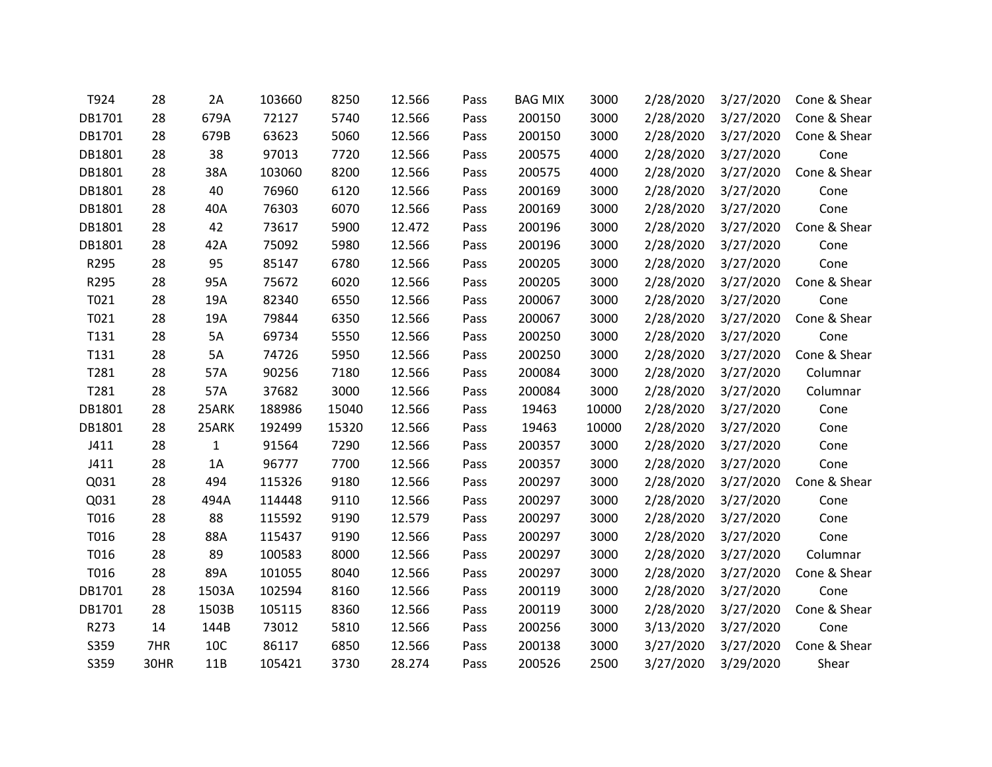| T924   | 28   | 2A           | 103660 | 8250  | 12.566 | Pass | <b>BAG MIX</b> | 3000  | 2/28/2020 | 3/27/2020 | Cone & Shear |
|--------|------|--------------|--------|-------|--------|------|----------------|-------|-----------|-----------|--------------|
| DB1701 | 28   | 679A         | 72127  | 5740  | 12.566 | Pass | 200150         | 3000  | 2/28/2020 | 3/27/2020 | Cone & Shear |
| DB1701 | 28   | 679B         | 63623  | 5060  | 12.566 | Pass | 200150         | 3000  | 2/28/2020 | 3/27/2020 | Cone & Shear |
| DB1801 | 28   | 38           | 97013  | 7720  | 12.566 | Pass | 200575         | 4000  | 2/28/2020 | 3/27/2020 | Cone         |
| DB1801 | 28   | 38A          | 103060 | 8200  | 12.566 | Pass | 200575         | 4000  | 2/28/2020 | 3/27/2020 | Cone & Shear |
| DB1801 | 28   | 40           | 76960  | 6120  | 12.566 | Pass | 200169         | 3000  | 2/28/2020 | 3/27/2020 | Cone         |
| DB1801 | 28   | 40A          | 76303  | 6070  | 12.566 | Pass | 200169         | 3000  | 2/28/2020 | 3/27/2020 | Cone         |
| DB1801 | 28   | 42           | 73617  | 5900  | 12.472 | Pass | 200196         | 3000  | 2/28/2020 | 3/27/2020 | Cone & Shear |
| DB1801 | 28   | 42A          | 75092  | 5980  | 12.566 | Pass | 200196         | 3000  | 2/28/2020 | 3/27/2020 | Cone         |
| R295   | 28   | 95           | 85147  | 6780  | 12.566 | Pass | 200205         | 3000  | 2/28/2020 | 3/27/2020 | Cone         |
| R295   | 28   | 95A          | 75672  | 6020  | 12.566 | Pass | 200205         | 3000  | 2/28/2020 | 3/27/2020 | Cone & Shear |
| T021   | 28   | 19A          | 82340  | 6550  | 12.566 | Pass | 200067         | 3000  | 2/28/2020 | 3/27/2020 | Cone         |
| T021   | 28   | 19A          | 79844  | 6350  | 12.566 | Pass | 200067         | 3000  | 2/28/2020 | 3/27/2020 | Cone & Shear |
| T131   | 28   | 5A           | 69734  | 5550  | 12.566 | Pass | 200250         | 3000  | 2/28/2020 | 3/27/2020 | Cone         |
| T131   | 28   | 5A           | 74726  | 5950  | 12.566 | Pass | 200250         | 3000  | 2/28/2020 | 3/27/2020 | Cone & Shear |
| T281   | 28   | 57A          | 90256  | 7180  | 12.566 | Pass | 200084         | 3000  | 2/28/2020 | 3/27/2020 | Columnar     |
| T281   | 28   | 57A          | 37682  | 3000  | 12.566 | Pass | 200084         | 3000  | 2/28/2020 | 3/27/2020 | Columnar     |
| DB1801 | 28   | 25ARK        | 188986 | 15040 | 12.566 | Pass | 19463          | 10000 | 2/28/2020 | 3/27/2020 | Cone         |
| DB1801 | 28   | 25ARK        | 192499 | 15320 | 12.566 | Pass | 19463          | 10000 | 2/28/2020 | 3/27/2020 | Cone         |
| J411   | 28   | $\mathbf{1}$ | 91564  | 7290  | 12.566 | Pass | 200357         | 3000  | 2/28/2020 | 3/27/2020 | Cone         |
| J411   | 28   | 1A           | 96777  | 7700  | 12.566 | Pass | 200357         | 3000  | 2/28/2020 | 3/27/2020 | Cone         |
| Q031   | 28   | 494          | 115326 | 9180  | 12.566 | Pass | 200297         | 3000  | 2/28/2020 | 3/27/2020 | Cone & Shear |
| Q031   | 28   | 494A         | 114448 | 9110  | 12.566 | Pass | 200297         | 3000  | 2/28/2020 | 3/27/2020 | Cone         |
| T016   | 28   | 88           | 115592 | 9190  | 12.579 | Pass | 200297         | 3000  | 2/28/2020 | 3/27/2020 | Cone         |
| T016   | 28   | 88A          | 115437 | 9190  | 12.566 | Pass | 200297         | 3000  | 2/28/2020 | 3/27/2020 | Cone         |
| T016   | 28   | 89           | 100583 | 8000  | 12.566 | Pass | 200297         | 3000  | 2/28/2020 | 3/27/2020 | Columnar     |
| T016   | 28   | 89A          | 101055 | 8040  | 12.566 | Pass | 200297         | 3000  | 2/28/2020 | 3/27/2020 | Cone & Shear |
| DB1701 | 28   | 1503A        | 102594 | 8160  | 12.566 | Pass | 200119         | 3000  | 2/28/2020 | 3/27/2020 | Cone         |
| DB1701 | 28   | 1503B        | 105115 | 8360  | 12.566 | Pass | 200119         | 3000  | 2/28/2020 | 3/27/2020 | Cone & Shear |
| R273   | 14   | 144B         | 73012  | 5810  | 12.566 | Pass | 200256         | 3000  | 3/13/2020 | 3/27/2020 | Cone         |
| S359   | 7HR  | 10C          | 86117  | 6850  | 12.566 | Pass | 200138         | 3000  | 3/27/2020 | 3/27/2020 | Cone & Shear |
| S359   | 30HR | 11B          | 105421 | 3730  | 28.274 | Pass | 200526         | 2500  | 3/27/2020 | 3/29/2020 | Shear        |